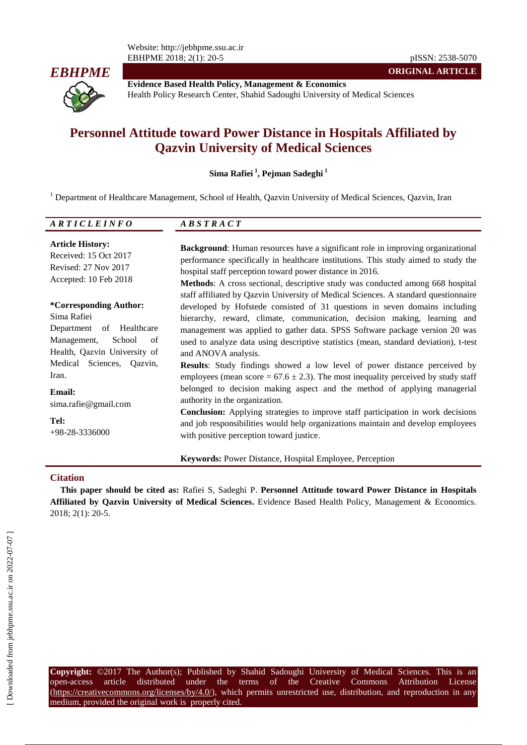Website: http://jebhpme.ssu.ac.ir EBHPME 2018; 2(1): 20-5 pISSN: 2538-5070



**Evidence Based Health Policy, Management & Economics** Health Policy Research Center, Shahid Sadoughi University of Medical Sciences

**ORIGINAL ARTICLE**

# **Personnel Attitude toward Power Distance in Hospitals Affiliated by Qazvin University of Medical Sciences**

**Sima Rafiei <sup>1</sup> , Pejman Sadeghi <sup>1</sup>**

<sup>1</sup> Department of Healthcare Management, School of Health, Qazvin University of Medical Sciences, Qazvin, Iran

| ARTICLEINFO                                                                                             | <i>ABSTRACT</i>                                                                                                                                                                                                                                                                                                                                                                                            |
|---------------------------------------------------------------------------------------------------------|------------------------------------------------------------------------------------------------------------------------------------------------------------------------------------------------------------------------------------------------------------------------------------------------------------------------------------------------------------------------------------------------------------|
| <b>Article History:</b><br>Received: 15 Oct 2017<br>Revised: 27 Nov 2017<br>Accepted: 10 Feb 2018       | Background: Human resources have a significant role in improving organizational<br>performance specifically in healthcare institutions. This study aimed to study the<br>hospital staff perception toward power distance in 2016.<br>Methods: A cross sectional, descriptive study was conducted among 668 hospital<br>staff affiliated by Qazvin University of Medical Sciences. A standard questionnaire |
| <i>*Corresponding Author:</i><br>Sima Rafiei<br>Department of Healthcare<br>Management,<br>School<br>of | developed by Hofstede consisted of 31 questions in seven domains including<br>hierarchy, reward, climate, communication, decision making, learning and<br>management was applied to gather data. SPSS Software package version 20 was<br>used to analyze data using descriptive statistics (mean, standard deviation), t-test                                                                              |
| Health, Qazvin University of<br>Medical Sciences, Qazvin,<br>Iran.                                      | and ANOVA analysis.<br>Results: Study findings showed a low level of power distance perceived by<br>employees (mean score = $67.6 \pm 2.3$ ). The most inequality perceived by study staff                                                                                                                                                                                                                 |
| <b>Email:</b><br>sima.rafie@gmail.com                                                                   | belonged to decision making aspect and the method of applying managerial<br>authority in the organization.<br><b>Conclusion:</b> Applying strategies to improve staff participation in work decisions                                                                                                                                                                                                      |
| Tel:<br>$+98-28-3336000$                                                                                | and job responsibilities would help organizations maintain and develop employees<br>with positive perception toward justice.                                                                                                                                                                                                                                                                               |
|                                                                                                         |                                                                                                                                                                                                                                                                                                                                                                                                            |

**Keywords:** Power Distance, Hospital Employee, Perception

#### **Citation**

**This paper should be cited as:** Rafiei S, Sadeghi P. **Personnel Attitude toward Power Distance in Hospitals Affiliated by Qazvin University of Medical Sciences.** Evidence Based Health Policy, Management & Economics. 2018; 2(1): 20-5.

**Copyright:** ©2017 The Author(s); Published by Shahid Sadoughi University of Medical Sciences. This is an open-access article distributed under the terms of the Creative Commons Attribution License (https://creativecommons.org/licenses/by/4.0/), which permits unrestricted use, distribution, and reproduction in any medium, provided the original work is properly cited.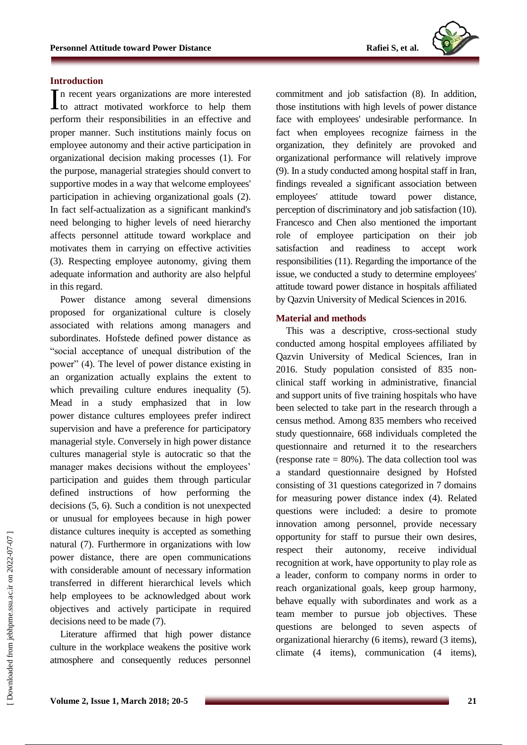#### **Introduction**

n recent years organizations are more interested In recent years organizations are more interested<br>to attract motivated workforce to help them perform their responsibilities in an effective and proper manner. Such institutions mainly focus on employee autonomy and their active participation in organizational decision making processes (1). For the purpose, managerial strategies should convert to supportive modes in a way that welcome employees' participation in achieving organizational goals (2). In fact self-actualization as a significant mankind's need belonging to higher levels of need hierarchy affects personnel attitude toward workplace and motivates them in carrying on effective activities (3). Respecting employee autonomy, giving them adequate information and authority are also helpful in this regard.

Power distance among several dimensions proposed for organizational culture is closely associated with relations among managers and subordinates. Hofstede defined power distance as "social acceptance of unequal distribution of the power" (4). The level of power distance existing in an organization actually explains the extent to which prevailing culture endures inequality (5). Mead in a study emphasized that in low power distance cultures employees prefer indirect supervision and have a preference for participatory managerial style. Conversely in high power distance cultures managerial style is autocratic so that the manager makes decisions without the employees' participation and guides them through particular defined instructions of how performing the decisions (5, 6). Such a condition is not unexpected or unusual for employees because in high power distance cultures inequity is accepted as something natural (7). Furthermore in organizations with low power distance, there are open communications with considerable amount of necessary information transferred in different hierarchical levels which help employees to be acknowledged about work objectives and actively participate in required decisions need to be made (7).

Literature affirmed that high power distance culture in the workplace weakens the positive work atmosphere and consequently reduces personnel commitment and job satisfaction (8). In addition, those institutions with high levels of power distance face with employees' undesirable performance. In fact when employees recognize fairness in the organization, they definitely are provoked and organizational performance will relatively improve (9). In a study conducted among hospital staff in Iran, findings revealed a significant association between employees' attitude toward power distance, perception of discriminatory and job satisfaction (10). Francesco and Chen also mentioned the important role of employee participation on their job satisfaction and readiness to accept work responsibilities (11). Regarding the importance of the issue, we conducted a study to determine employees' attitude toward power distance in hospitals affiliated by Qazvin University of Medical Sciences in 2016.

#### **Material and methods**

This was a descriptive, cross-sectional study conducted among hospital employees affiliated by Qazvin University of Medical Sciences, Iran in 2016. Study population consisted of 835 nonclinical staff working in administrative, financial and support units of five training hospitals who have been selected to take part in the research through a census method. Among 835 members who received study questionnaire, 668 individuals completed the questionnaire and returned it to the researchers (response rate  $= 80\%$ ). The data collection tool was a standard questionnaire designed by Hofsted consisting of 31 questions categorized in 7 domains for measuring power distance index (4). Related questions were included: a desire to promote innovation among personnel, provide necessary opportunity for staff to pursue their own desires, respect their autonomy, receive individual recognition at work, have opportunity to play role as a leader, conform to company norms in order to reach organizational goals, keep group harmony, behave equally with subordinates and work as a team member to pursue job objectives. These questions are belonged to seven aspects of organizational hierarchy (6 items), reward (3 items), climate (4 items), communication (4 items),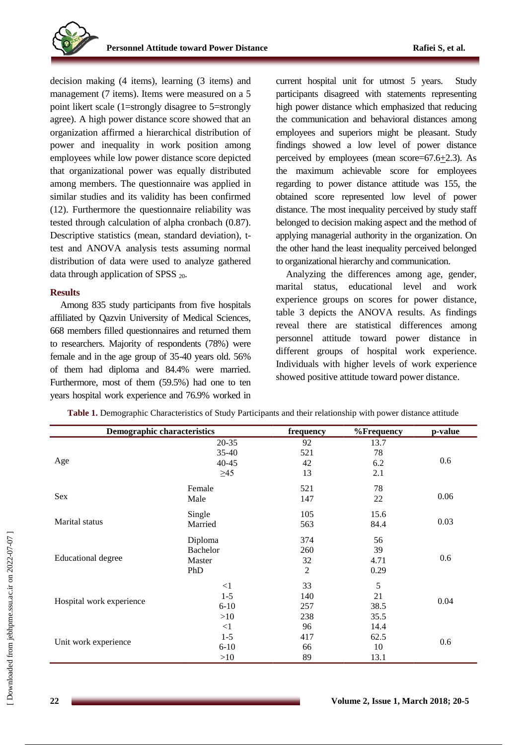decision making (4 items), learning (3 items) and management (7 items). Items were measured on a 5 point likert scale (1=strongly disagree to 5=strongly agree). A high power distance score showed that an organization affirmed a hierarchical distribution of power and inequality in work position among employees while low power distance score depicted that organizational power was equally distributed among members. The questionnaire was applied in similar studies and its validity has been confirmed (12). Furthermore the questionnaire reliability was tested through calculation of alpha cronbach (0.87). Descriptive statistics (mean, standard deviation), ttest and ANOVA analysis tests assuming normal distribution of data were used to analyze gathered data through application of SPSS  $_{20}$ .

## **Results**

Among 835 study participants from five hospitals affiliated by Qazvin University of Medical Sciences, 668 members filled questionnaires and returned them to researchers. Majority of respondents (78%) were female and in the age group of 35-40 years old. 56% of them had diploma and 84.4% were married. Furthermore, most of them (59.5%) had one to ten years hospital work experience and 76.9% worked in current hospital unit for utmost 5 years. Study participants disagreed with statements representing high power distance which emphasized that reducing the communication and behavioral distances among employees and superiors might be pleasant. Study findings showed a low level of power distance perceived by employees (mean score=67.6+2.3). As the maximum achievable score for employees regarding to power distance attitude was 155, the obtained score represented low level of power distance. The most inequality perceived by study staff belonged to decision making aspect and the method of applying managerial authority in the organization. On the other hand the least inequality perceived belonged to organizational hierarchy and communication.

Analyzing the differences among age, gender, marital status, educational level and work experience groups on scores for power distance, table 3 depicts the ANOVA results. As findings reveal there are statistical differences among personnel attitude toward power distance in different groups of hospital work experience. Individuals with higher levels of work experience showed positive attitude toward power distance.

| <b>Demographic characteristics</b> |           | frequency      | %Frequency | p-value |  |
|------------------------------------|-----------|----------------|------------|---------|--|
|                                    | $20 - 35$ | 92             | 13.7       |         |  |
| Age                                | 35-40     | 521            | 78         |         |  |
|                                    | 40-45     | 42             | 6.2        | 0.6     |  |
|                                    | $\geq 45$ | 13             | 2.1        |         |  |
|                                    | Female    | 521            | 78         | 0.06    |  |
| Sex                                | Male      | 147            | 22         |         |  |
|                                    | Single    | 105            | 15.6       | 0.03    |  |
| Marital status                     | Married   | 563            | 84.4       |         |  |
|                                    | Diploma   | 374            | 56         | 0.6     |  |
|                                    | Bachelor  | 260            | 39         |         |  |
| <b>Educational degree</b>          | Master    | 32             | 4.71       |         |  |
|                                    | PhD       | $\overline{2}$ | 0.29       |         |  |
| Hospital work experience           | $\leq$ 1  | 33             | 5          |         |  |
|                                    | $1-5$     | 140            | 21         |         |  |
|                                    | $6 - 10$  | 257            | 38.5       | 0.04    |  |
|                                    | >10       | 238            | 35.5       |         |  |
|                                    | $\leq$ 1  | 96             | 14.4       | 0.6     |  |
| Unit work experience               | $1-5$     | 417            | 62.5       |         |  |
|                                    | $6 - 10$  | 66             | 10         |         |  |
|                                    | >10       | 89             | 13.1       |         |  |

**Table 1.** Demographic Characteristics of Study Participants and their relationship with power distance attitude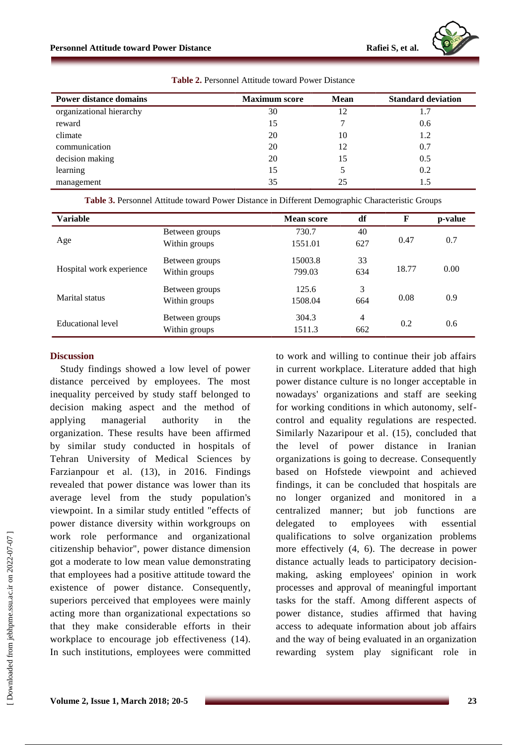

| <b>Power distance domains</b> | <b>Maximum</b> score | Mean | <b>Standard deviation</b> |  |
|-------------------------------|----------------------|------|---------------------------|--|
| organizational hierarchy      | 30                   | 12   | 1.7                       |  |
| reward                        | 15                   |      | 0.6                       |  |
| climate                       | 20                   | 10   | 1.2                       |  |
| communication                 | 20                   | 12   | 0.7                       |  |
| decision making               | 20                   | 15   | 0.5                       |  |
| learning                      | 15                   |      | 0.2                       |  |
| management                    | 35                   | 25   | 1.5                       |  |

**Table 2.** Personnel Attitude toward Power Distance

**Table 3.** Personnel Attitude toward Power Distance in Different Demographic Characteristic Groups

| <b>Variable</b>          |                                 | <b>Mean score</b> | df        | F     | p-value |
|--------------------------|---------------------------------|-------------------|-----------|-------|---------|
| Age                      | Between groups<br>Within groups | 730.7<br>1551.01  | 40<br>627 | 0.47  | 0.7     |
| Hospital work experience | Between groups<br>Within groups | 15003.8<br>799.03 | 33<br>634 | 18.77 | 0.00    |
| Marital status           | Between groups<br>Within groups | 125.6<br>1508.04  | 3<br>664  | 0.08  | 0.9     |
| Educational level        | Between groups<br>Within groups | 304.3<br>1511.3   | 4<br>662  | 0.2   | 0.6     |

#### **Discussion**

Study findings showed a low level of power distance perceived by employees. The most inequality perceived by study staff belonged to decision making aspect and the method of applying managerial authority in the organization. These results have been affirmed by similar study conducted in hospitals of Tehran University of Medical Sciences by Farzianpour et al. (13), in 2016. Findings revealed that power distance was lower than its average level from the study population's viewpoint. In a similar study entitled "effects of power distance diversity within workgroups on work role performance and organizational citizenship behavior", power distance dimension got a moderate to low mean value demonstrating that employees had a positive attitude toward the existence of power distance. Consequently, superiors perceived that employees were mainly acting more than organizational expectations so that they make considerable efforts in their workplace to encourage job effectiveness (14). In such institutions, employees were committed to work and willing to continue their job affairs in current workplace. Literature added that high power distance culture is no longer acceptable in nowadays' organizations and staff are seeking for working conditions in which autonomy, selfcontrol and equality regulations are respected. Similarly Nazaripour et al. (15), concluded that the level of power distance in Iranian organizations is going to decrease. Consequently based on Hofstede viewpoint and achieved findings, it can be concluded that hospitals are no longer organized and monitored in a centralized manner; but job functions are delegated to employees with essential qualifications to solve organization problems more effectively (4, 6). The decrease in power distance actually leads to participatory decisionmaking, asking employees' opinion in work processes and approval of meaningful important tasks for the staff. Among different aspects of power distance, studies affirmed that having access to adequate information about job affairs and the way of being evaluated in an organization rewarding system play significant role in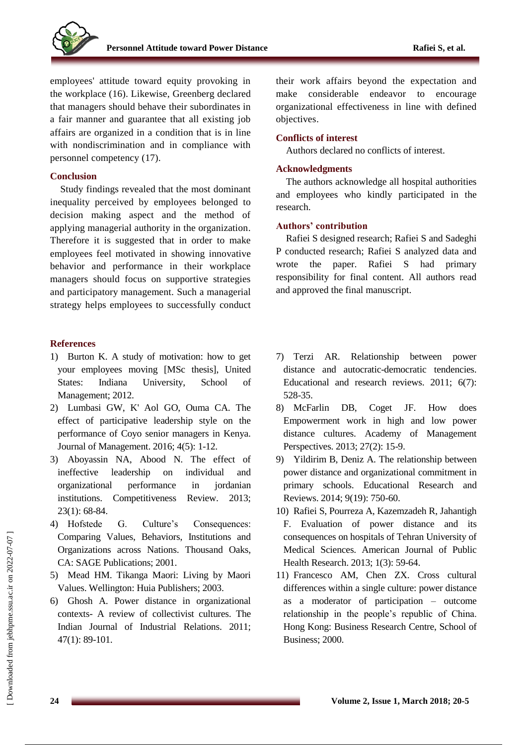employees' attitude toward equity provoking in the workplace (16). Likewise, Greenberg declared that managers should behave their subordinates in a fair manner and guarantee that all existing job affairs are organized in a condition that is in line with nondiscrimination and in compliance with personnel competency (17).

## **Conclusion**

Study findings revealed that the most dominant inequality perceived by employees belonged to decision making aspect and the method of applying managerial authority in the organization. Therefore it is suggested that in order to make employees feel motivated in showing innovative behavior and performance in their workplace managers should focus on supportive strategies and participatory management. Such a managerial strategy helps employees to successfully conduct

## **References**

- 1) Burton K. A study of motivation: how to get your employees moving [MSc thesis], United States: Indiana University, School of Management; 2012.
- 2) Lumbasi GW, K' Aol GO, Ouma CA. The effect of participative leadership style on the performance of Coyo senior managers in Kenya. Journal of Management. 2016; 4(5): 1-12.
- 3) Aboyassin NA, Abood N. The effect of ineffective leadership on individual and organizational performance in jordanian institutions. Competitiveness Review. 2013; 23(1): 68-84.
- 4) Hofstede G. Culture's Consequences: Comparing Values, Behaviors, Institutions and Organizations across Nations. Thousand Oaks, CA: SAGE Publications; 2001.
- 5) Mead HM. Tikanga Maori: Living by Maori Values. Wellington: Huia Publishers; 2003.
- 6) Ghosh A. Power distance in organizational contexts- A review of collectivist cultures. The Indian Journal of Industrial Relations. 2011; 47(1): 89-101.

their work affairs beyond the expectation and make considerable endeavor to encourage organizational effectiveness in line with defined objectives.

## **Conflicts of interest**

Authors declared no conflicts of interest.

## **Acknowledgments**

The authors acknowledge all hospital authorities and employees who kindly participated in the research.

## **Authors' contribution**

Rafiei S designed research; Rafiei S and Sadeghi P conducted research; Rafiei S analyzed data and wrote the paper. Rafiei S had primary responsibility for final content. All authors read and approved the final manuscript.

- 7) Terzi AR. Relationship between power distance and autocratic-democratic tendencies. Educational and research reviews. 2011; 6(7): 528-35.
- 8) McFarlin DB, Coget JF. How does Empowerment work in high and low power distance cultures. Academy of Management Perspectives. 2013; 27(2): 15-9.
- 9) Yildirim B, Deniz A. The relationship between power distance and organizational commitment in primary schools. Educational Research and Reviews. 2014; 9(19): 750-60.
- 10) Rafiei S, Pourreza A, Kazemzadeh R, Jahantigh F. Evaluation of power distance and its consequences on hospitals of Tehran University of Medical Sciences. American Journal of Public Health Research. 2013; 1(3): 59-64.
- 11) Francesco AM, Chen ZX. Cross cultural differences within a single culture: power distance as a moderator of participation – outcome relationship in the people's republic of China. Hong Kong: Business Research Centre, School of Business; 2000.